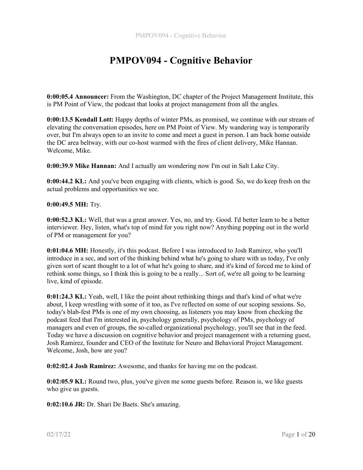0:00:05.4 Announcer: From the Washington, DC chapter of the Project Management Institute, this is PM Point of View, the podcast that looks at project management from all the angles.

0:00:13.5 Kendall Lott: Happy depths of winter PMs, as promised, we continue with our stream of elevating the conversation episodes, here on PM Point of View. My wandering way is temporarily over, but I'm always open to an invite to come and meet a guest in person. I am back home outside the DC area beltway, with our co-host warmed with the fires of client delivery, Mike Hannan. Welcome, Mike.

0:00:39.9 Mike Hannan: And I actually am wondering now I'm out in Salt Lake City.

0:00:44.2 KL: And you've been engaging with clients, which is good. So, we do keep fresh on the actual problems and opportunities we see.

#### 0:00:49.5 MH: Try.

0:00:52.3 KL: Well, that was a great answer. Yes, no, and try. Good. I'd better learn to be a better interviewer. Hey, listen, what's top of mind for you right now? Anything popping out in the world of PM or management for you?

0:01:04.6 MH: Honestly, it's this podcast. Before I was introduced to Josh Ramirez, who you'll introduce in a sec, and sort of the thinking behind what he's going to share with us today, I've only given sort of scant thought to a lot of what he's going to share, and it's kind of forced me to kind of rethink some things, so I think this is going to be a really... Sort of, we're all going to be learning live, kind of episode.

0:01:24.3 KL: Yeah, well, I like the point about rethinking things and that's kind of what we're about, I keep wrestling with some of it too, as I've reflected on some of our scoping sessions. So, today's blab-fest PMs is one of my own choosing, as listeners you may know from checking the podcast feed that I'm interested in, psychology generally, psychology of PMs, psychology of managers and even of groups, the so-called organizational psychology, you'll see that in the feed. Today we have a discussion on cognitive behavior and project management with a returning guest, Josh Ramirez, founder and CEO of the Institute for Neuro and Behavioral Project Management. Welcome, Josh, how are you?

0:02:02.4 Josh Ramirez: Awesome, and thanks for having me on the podcast.

0:02:05.9 KL: Round two, plus, you've given me some guests before. Reason is, we like guests who give us guests.

0:02:10.6 JR: Dr. Shari De Baets. She's amazing.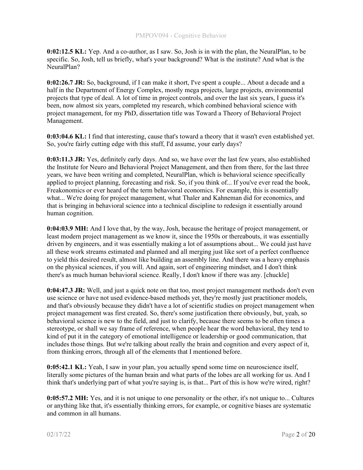0:02:12.5 KL: Yep. And a co-author, as I saw. So, Josh is in with the plan, the NeuralPlan, to be specific. So, Josh, tell us briefly, what's your background? What is the institute? And what is the NeuralPlan?

0:02:26.7 JR: So, background, if I can make it short, I've spent a couple... About a decade and a half in the Department of Energy Complex, mostly mega projects, large projects, environmental projects that type of deal. A lot of time in project controls, and over the last six years, I guess it's been, now almost six years, completed my research, which combined behavioral science with project management, for my PhD, dissertation title was Toward a Theory of Behavioral Project Management.

0:03:04.6 KL: I find that interesting, cause that's toward a theory that it wasn't even established yet. So, you're fairly cutting edge with this stuff, I'd assume, your early days?

0:03:11.3 JR: Yes, definitely early days. And so, we have over the last few years, also established the Institute for Neuro and Behavioral Project Management, and then from there, for the last three years, we have been writing and completed, NeuralPlan, which is behavioral science specifically applied to project planning, forecasting and risk. So, if you think of... If you've ever read the book, Freakonomics or ever heard of the term behavioral economics. For example, this is essentially what... We're doing for project management, what Thaler and Kahneman did for economics, and that is bringing in behavioral science into a technical discipline to redesign it essentially around human cognition.

0:04:03.9 MH: And I love that, by the way, Josh, because the heritage of project management, or least modern project management as we know it, since the 1950s or thereabouts, it was essentially driven by engineers, and it was essentially making a lot of assumptions about... We could just have all these work streams estimated and planned and all merging just like sort of a perfect confluence to yield this desired result, almost like building an assembly line. And there was a heavy emphasis on the physical sciences, if you will. And again, sort of engineering mindset, and I don't think there's as much human behavioral science. Really, I don't know if there was any. [chuckle]

0:04:47.3 JR: Well, and just a quick note on that too, most project management methods don't even use science or have not used evidence-based methods yet, they're mostly just practitioner models, and that's obviously because they didn't have a lot of scientific studies on project management when project management was first created. So, there's some justification there obviously, but, yeah, so behavioral science is new to the field, and just to clarify, because there seems to be often times a stereotype, or shall we say frame of reference, when people hear the word behavioral, they tend to kind of put it in the category of emotional intelligence or leadership or good communication, that includes those things. But we're talking about really the brain and cognition and every aspect of it, from thinking errors, through all of the elements that I mentioned before.

0:05:42.1 KL: Yeah, I saw in your plan, you actually spend some time on neuroscience itself, literally some pictures of the human brain and what parts of the lobes are all working for us. And I think that's underlying part of what you're saying is, is that... Part of this is how we're wired, right?

0:05:57.2 MH: Yes, and it is not unique to one personality or the other, it's not unique to... Cultures or anything like that, it's essentially thinking errors, for example, or cognitive biases are systematic and common in all humans.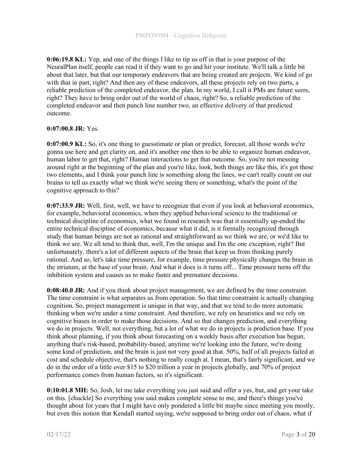0:06:19.8 KL: Yep, and one of the things I like to tip us off in that is your purpose of the NeuralPlan itself, people can read it if they want to go and hit your institute. We'll talk a little bit about that later, but that our temporary endeavors that are being created are projects. We kind of go with that in part, right? And then any of these endeavors, all these projects rely on two parts, a reliable prediction of the completed endeavor, the plan. In my world, I call it PMs are future seers, right? They have to bring order out of the world of chaos, right? So, a reliable prediction of the completed endeavor and then punch line number two, an effective delivery of that predicted outcome.

### 0:07:00.8 JR: Yes.

0:07:00.9 KL: So, it's one thing to guesstimate or plan or predict, forecast, all those words we're gonna use here and get clarity on, and it's another one then to be able to organize human endeavor, human labor to get that, right? Human interactions to get that outcome. So, you're not messing around right at the beginning of the plan and you're like, look, both things are like this, it's got these two elements, and I think your punch line is something along the lines, we can't really count on our brains to tell us exactly what we think we're seeing there or something, what's the point of the cognitive approach to this?

0:07:33.9 JR: Well, first, well, we have to recognize that even if you look at behavioral economics, for example, behavioral economics, when they applied behavioral science to the traditional or technical discipline of economics, what we found in research was that it essentially up-ended the entire technical discipline of economics, because what it did, is it formally recognized through study that human beings are not as rational and straightforward as we think we are, or we'd like to think we are. We all tend to think that, well, I'm the unique and I'm the one exception, right? But unfortunately, there's a lot of different aspects of the brain that keep us from thinking purely rational. And so, let's take time pressure, for example, time pressure physically changes the brain in the striatum, at the base of your brain. And what it does is it turns off... Time pressure turns off the inhibition system and causes us to make faster and premature decisions.

0:08:40.0 JR: And if you think about project management, we are defined by the time constraint. The time constraint is what separates us from operation. So that time constraint is actually changing cognition. So, project management is unique in that way, and that we tend to do more automatic thinking when we're under a time constraint. And therefore, we rely on heuristics and we rely on cognitive biases in order to make those decisions. And so that changes prediction, and everything we do in projects. Well, not everything, but a lot of what we do in projects is prediction base. If you think about planning, if you think about forecasting on a weekly basis after execution has begun, anything that's risk-based, probability-based, anytime we're looking into the future, we're doing some kind of prediction, and the brain is just not very good at that. 50%, half of all projects failed at cost and schedule objective, that's nothing to really cough at. I mean, that's fairly significant, and we do in the order of a little over \$15 to \$20 trillion a year in projects globally, and 70% of project performance comes from human factors, so it's significant.

0:10:01.8 MH: So, Josh, let me take everything you just said and offer a yes, but, and get your take on this. [chuckle] So everything you said makes complete sense to me, and there's things you've thought about for years that I might have only pondered a little bit maybe since meeting you mostly, but even this notion that Kendall started saying, we're supposed to bring order out of chaos, what if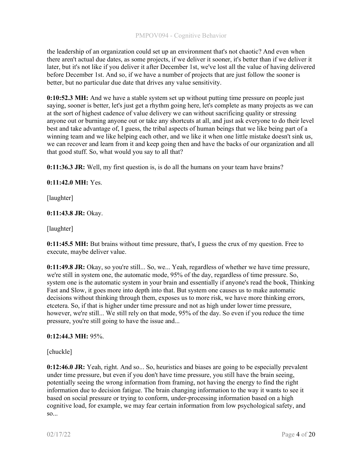the leadership of an organization could set up an environment that's not chaotic? And even when there aren't actual due dates, as some projects, if we deliver it sooner, it's better than if we deliver it later, but it's not like if you deliver it after December 1st, we've lost all the value of having delivered before December 1st. And so, if we have a number of projects that are just follow the sooner is better, but no particular due date that drives any value sensitivity.

0:10:52.3 MH: And we have a stable system set up without putting time pressure on people just saying, sooner is better, let's just get a rhythm going here, let's complete as many projects as we can at the sort of highest cadence of value delivery we can without sacrificing quality or stressing anyone out or burning anyone out or take any shortcuts at all, and just ask everyone to do their level best and take advantage of, I guess, the tribal aspects of human beings that we like being part of a winning team and we like helping each other, and we like it when one little mistake doesn't sink us, we can recover and learn from it and keep going then and have the backs of our organization and all that good stuff. So, what would you say to all that?

0:11:36.3 JR: Well, my first question is, is do all the humans on your team have brains?

### 0:11:42.0 MH: Yes.

[laughter]

### 0:11:43.8 JR: Okay.

[laughter]

0:11:45.5 MH: But brains without time pressure, that's, I guess the crux of my question. Free to execute, maybe deliver value.

0:11:49.8 JR: Okay, so you're still... So, we... Yeah, regardless of whether we have time pressure, we're still in system one, the automatic mode, 95% of the day, regardless of time pressure. So, system one is the automatic system in your brain and essentially if anyone's read the book, Thinking Fast and Slow, it goes more into depth into that. But system one causes us to make automatic decisions without thinking through them, exposes us to more risk, we have more thinking errors, etcetera. So, if that is higher under time pressure and not as high under lower time pressure, however, we're still... We still rely on that mode, 95% of the day. So even if you reduce the time pressure, you're still going to have the issue and...

#### 0:12:44.3 MH: 95%.

[chuckle]

0:12:46.0 JR: Yeah, right. And so... So, heuristics and biases are going to be especially prevalent under time pressure, but even if you don't have time pressure, you still have the brain seeing, potentially seeing the wrong information from framing, not having the energy to find the right information due to decision fatigue. The brain changing information to the way it wants to see it based on social pressure or trying to conform, under-processing information based on a high cognitive load, for example, we may fear certain information from low psychological safety, and so...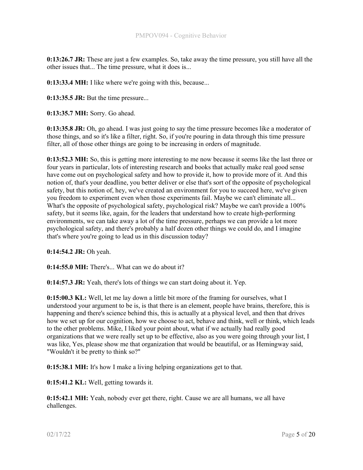0:13:26.7 JR: These are just a few examples. So, take away the time pressure, you still have all the other issues that... The time pressure, what it does is...

0:13:33.4 MH: I like where we're going with this, because...

0:13:35.5 JR: But the time pressure...

0:13:35.7 MH: Sorry. Go ahead.

0:13:35.8 JR: Oh, go ahead. I was just going to say the time pressure becomes like a moderator of those things, and so it's like a filter, right. So, if you're pouring in data through this time pressure filter, all of those other things are going to be increasing in orders of magnitude.

0:13:52.3 MH: So, this is getting more interesting to me now because it seems like the last three or four years in particular, lots of interesting research and books that actually make real good sense have come out on psychological safety and how to provide it, how to provide more of it. And this notion of, that's your deadline, you better deliver or else that's sort of the opposite of psychological safety, but this notion of, hey, we've created an environment for you to succeed here, we've given you freedom to experiment even when those experiments fail. Maybe we can't eliminate all... What's the opposite of psychological safety, psychological risk? Maybe we can't provide a 100% safety, but it seems like, again, for the leaders that understand how to create high-performing environments, we can take away a lot of the time pressure, perhaps we can provide a lot more psychological safety, and there's probably a half dozen other things we could do, and I imagine that's where you're going to lead us in this discussion today?

0:14:54.2 JR: Oh yeah.

0:14:55.0 MH: There's... What can we do about it?

0:14:57.3 JR: Yeah, there's lots of things we can start doing about it. Yep.

0:15:00.3 KL: Well, let me lay down a little bit more of the framing for ourselves, what I understood your argument to be is, is that there is an element, people have brains, therefore, this is happening and there's science behind this, this is actually at a physical level, and then that drives how we set up for our cognition, how we choose to act, behave and think, well or think, which leads to the other problems. Mike, I liked your point about, what if we actually had really good organizations that we were really set up to be effective, also as you were going through your list, I was like, Yes, please show me that organization that would be beautiful, or as Hemingway said, "Wouldn't it be pretty to think so?"

0:15:38.1 MH: It's how I make a living helping organizations get to that.

0:15:41.2 KL: Well, getting towards it.

0:15:42.1 MH: Yeah, nobody ever get there, right. Cause we are all humans, we all have challenges.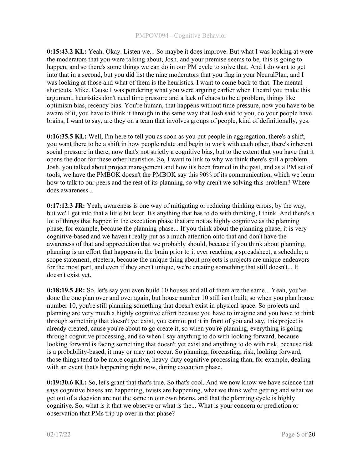0:15:43.2 KL: Yeah. Okay. Listen we... So maybe it does improve. But what I was looking at were the moderators that you were talking about, Josh, and your premise seems to be, this is going to happen, and so there's some things we can do in our PM cycle to solve that. And I do want to get into that in a second, but you did list the nine moderators that you flag in your NeuralPlan, and I was looking at those and what of them is the heuristics. I want to come back to that. The mental shortcuts, Mike. Cause I was pondering what you were arguing earlier when I heard you make this argument, heuristics don't need time pressure and a lack of chaos to be a problem, things like optimism bias, recency bias. You're human, that happens without time pressure, now you have to be aware of it, you have to think it through in the same way that Josh said to you, do your people have brains, I want to say, are they on a team that involves groups of people, kind of definitionally, yes.

0:16:35.5 KL: Well, I'm here to tell you as soon as you put people in aggregation, there's a shift, you want there to be a shift in how people relate and begin to work with each other, there's inherent social pressure in there, now that's not strictly a cognitive bias, but to the extent that you have that it opens the door for these other heuristics. So, I want to link to why we think there's still a problem. Josh, you talked about project management and how it's been framed in the past, and as a PM set of tools, we have the PMBOK doesn't the PMBOK say this 90% of its communication, which we learn how to talk to our peers and the rest of its planning, so why aren't we solving this problem? Where does awareness...

0:17:12.3 JR: Yeah, awareness is one way of mitigating or reducing thinking errors, by the way, but we'll get into that a little bit later. It's anything that has to do with thinking, I think. And there's a lot of things that happen in the execution phase that are not as highly cognitive as the planning phase, for example, because the planning phase... If you think about the planning phase, it is very cognitive-based and we haven't really put as a much attention onto that and don't have the awareness of that and appreciation that we probably should, because if you think about planning, planning is an effort that happens in the brain prior to it ever reaching a spreadsheet, a schedule, a scope statement, etcetera, because the unique thing about projects is projects are unique endeavors for the most part, and even if they aren't unique, we're creating something that still doesn't... It doesn't exist yet.

0:18:19.5 JR: So, let's say you even build 10 houses and all of them are the same... Yeah, you've done the one plan over and over again, but house number 10 still isn't built, so when you plan house number 10, you're still planning something that doesn't exist in physical space. So projects and planning are very much a highly cognitive effort because you have to imagine and you have to think through something that doesn't yet exist, you cannot put it in front of you and say, this project is already created, cause you're about to go create it, so when you're planning, everything is going through cognitive processing, and so when I say anything to do with looking forward, because looking forward is facing something that doesn't yet exist and anything to do with risk, because risk is a probability-based, it may or may not occur. So planning, forecasting, risk, looking forward, those things tend to be more cognitive, heavy-duty cognitive processing than, for example, dealing with an event that's happening right now, during execution phase.

0:19:30.6 KL: So, let's grant that that's true. So that's cool. And we now know we have science that says cognitive biases are happening, twists are happening, what we think we're getting and what we get out of a decision are not the same in our own brains, and that the planning cycle is highly cognitive. So, what is it that we observe or what is the... What is your concern or prediction or observation that PMs trip up over in that phase?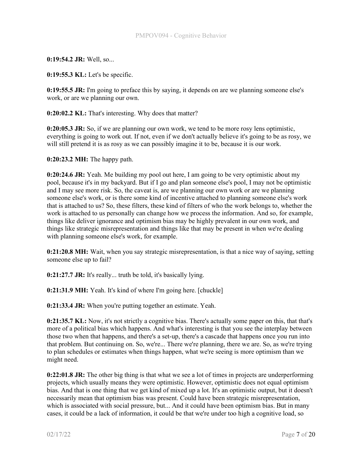0:19:54.2 JR: Well, so...

0:19:55.3 KL: Let's be specific.

0:19:55.5 JR: I'm going to preface this by saying, it depends on are we planning someone else's work, or are we planning our own.

0:20:02.2 KL: That's interesting. Why does that matter?

0:20:05.3 JR: So, if we are planning our own work, we tend to be more rosy lens optimistic, everything is going to work out. If not, even if we don't actually believe it's going to be as rosy, we will still pretend it is as rosy as we can possibly imagine it to be, because it is our work.

0:20:23.2 MH: The happy path.

0:20:24.6 JR: Yeah. Me building my pool out here, I am going to be very optimistic about my pool, because it's in my backyard. But if I go and plan someone else's pool, I may not be optimistic and I may see more risk. So, the caveat is, are we planning our own work or are we planning someone else's work, or is there some kind of incentive attached to planning someone else's work that is attached to us? So, these filters, these kind of filters of who the work belongs to, whether the work is attached to us personally can change how we process the information. And so, for example, things like deliver ignorance and optimism bias may be highly prevalent in our own work, and things like strategic misrepresentation and things like that may be present in when we're dealing with planning someone else's work, for example.

0:21:20.8 MH: Wait, when you say strategic misrepresentation, is that a nice way of saying, setting someone else up to fail?

0:21:27.7 JR: It's really... truth be told, it's basically lying.

0:21:31.9 MH: Yeah. It's kind of where I'm going here. [chuckle]

0:21:33.4 JR: When you're putting together an estimate. Yeah.

0:21:35.7 KL: Now, it's not strictly a cognitive bias. There's actually some paper on this, that that's more of a political bias which happens. And what's interesting is that you see the interplay between those two when that happens, and there's a set-up, there's a cascade that happens once you run into that problem. But continuing on. So, we're... There we're planning, there we are. So, as we're trying to plan schedules or estimates when things happen, what we're seeing is more optimism than we might need.

0:22:01.8 JR: The other big thing is that what we see a lot of times in projects are underperforming projects, which usually means they were optimistic. However, optimistic does not equal optimism bias. And that is one thing that we get kind of mixed up a lot. It's an optimistic output, but it doesn't necessarily mean that optimism bias was present. Could have been strategic misrepresentation, which is associated with social pressure, but... And it could have been optimism bias. But in many cases, it could be a lack of information, it could be that we're under too high a cognitive load, so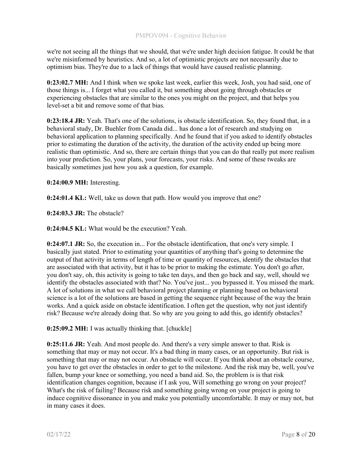we're not seeing all the things that we should, that we're under high decision fatigue. It could be that we're misinformed by heuristics. And so, a lot of optimistic projects are not necessarily due to optimism bias. They're due to a lack of things that would have caused realistic planning.

0:23:02.7 MH: And I think when we spoke last week, earlier this week, Josh, you had said, one of those things is... I forget what you called it, but something about going through obstacles or experiencing obstacles that are similar to the ones you might on the project, and that helps you level-set a bit and remove some of that bias.

0:23:18.4 JR: Yeah. That's one of the solutions, is obstacle identification. So, they found that, in a behavioral study, Dr. Buehler from Canada did... has done a lot of research and studying on behavioral application to planning specifically. And he found that if you asked to identify obstacles prior to estimating the duration of the activity, the duration of the activity ended up being more realistic than optimistic. And so, there are certain things that you can do that really put more realism into your prediction. So, your plans, your forecasts, your risks. And some of these tweaks are basically sometimes just how you ask a question, for example.

0:24:00.9 MH: Interesting.

**0:24:01.4 KL:** Well, take us down that path. How would you improve that one?

0:24:03.3 JR: The obstacle?

0:24:04.5 KL: What would be the execution? Yeah.

0:24:07.1 JR: So, the execution in... For the obstacle identification, that one's very simple. I basically just stated. Prior to estimating your quantities of anything that's going to determine the output of that activity in terms of length of time or quantity of resources, identify the obstacles that are associated with that activity, but it has to be prior to making the estimate. You don't go after, you don't say, oh, this activity is going to take ten days, and then go back and say, well, should we identify the obstacles associated with that? No. You've just... you bypassed it. You missed the mark. A lot of solutions in what we call behavioral project planning or planning based on behavioral science is a lot of the solutions are based in getting the sequence right because of the way the brain works. And a quick aside on obstacle identification. I often get the question, why not just identify risk? Because we're already doing that. So why are you going to add this, go identify obstacles?

0:25:09.2 MH: I was actually thinking that. [chuckle]

0:25:11.6 JR: Yeah. And most people do. And there's a very simple answer to that. Risk is something that may or may not occur. It's a bad thing in many cases, or an opportunity. But risk is something that may or may not occur. An obstacle will occur. If you think about an obstacle course, you have to get over the obstacles in order to get to the milestone. And the risk may be, well, you've fallen, bump your knee or something, you need a band aid. So, the problem is is that risk identification changes cognition, because if I ask you, Will something go wrong on your project? What's the risk of failing? Because risk and something going wrong on your project is going to induce cognitive dissonance in you and make you potentially uncomfortable. It may or may not, but in many cases it does.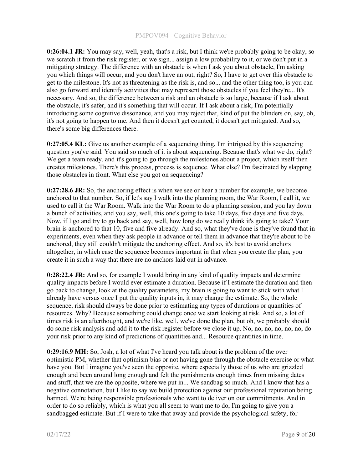0:26:04.1 JR: You may say, well, yeah, that's a risk, but I think we're probably going to be okay, so we scratch it from the risk register, or we sign... assign a low probability to it, or we don't put in a mitigating strategy. The difference with an obstacle is when I ask you about obstacle, I'm asking you which things will occur, and you don't have an out, right? So, I have to get over this obstacle to get to the milestone. It's not as threatening as the risk is, and so... and the other thing too, is you can also go forward and identify activities that may represent those obstacles if you feel they're... It's necessary. And so, the difference between a risk and an obstacle is so large, because if I ask about the obstacle, it's safer, and it's something that will occur. If I ask about a risk, I'm potentially introducing some cognitive dissonance, and you may reject that, kind of put the blinders on, say, oh, it's not going to happen to me. And then it doesn't get counted, it doesn't get mitigated. And so, there's some big differences there.

0:27:05.4 KL: Give us another example of a sequencing thing, I'm intrigued by this sequencing question you've said. You said so much of it is about sequencing. Because that's what we do, right? We get a team ready, and it's going to go through the milestones about a project, which itself then creates milestones. There's this process, process is sequence. What else? I'm fascinated by slapping those obstacles in front. What else you got on sequencing?

 $0:27:28.6$  JR: So, the anchoring effect is when we see or hear a number for example, we become anchored to that number. So, if let's say I walk into the planning room, the War Room, I call it, we used to call it the War Room. Walk into the War Room to do a planning session, and you lay down a bunch of activities, and you say, well, this one's going to take 10 days, five days and five days. Now, if I go and try to go back and say, well, how long do we really think it's going to take? Your brain is anchored to that 10, five and five already. And so, what they've done is they've found that in experiments, even when they ask people in advance or tell them in advance that they're about to be anchored, they still couldn't mitigate the anchoring effect. And so, it's best to avoid anchors altogether, in which case the sequence becomes important in that when you create the plan, you create it in such a way that there are no anchors laid out in advance.

0:28:22.4 JR: And so, for example I would bring in any kind of quality impacts and determine quality impacts before I would ever estimate a duration. Because if I estimate the duration and then go back to change, look at the quality parameters, my brain is going to want to stick with what I already have versus once I put the quality inputs in, it may change the estimate. So, the whole sequence, risk should always be done prior to estimating any types of durations or quantities of resources. Why? Because something could change once we start looking at risk. And so, a lot of times risk is an afterthought, and we're like, well, we've done the plan, but oh, we probably should do some risk analysis and add it to the risk register before we close it up. No, no, no, no, no, no, do your risk prior to any kind of predictions of quantities and... Resource quantities in time.

0:29:16.9 MH: So, Josh, a lot of what I've heard you talk about is the problem of the over optimistic PM, whether that optimism bias or not having gone through the obstacle exercise or what have you. But I imagine you've seen the opposite, where especially those of us who are grizzled enough and been around long enough and felt the punishments enough times from missing dates and stuff, that we are the opposite, where we put in... We sandbag so much. And I know that has a negative connotation, but I like to say we build protection against our professional reputation being harmed. We're being responsible professionals who want to deliver on our commitments. And in order to do so reliably, which is what you all seem to want me to do, I'm going to give you a sandbagged estimate. But if I were to take that away and provide the psychological safety, for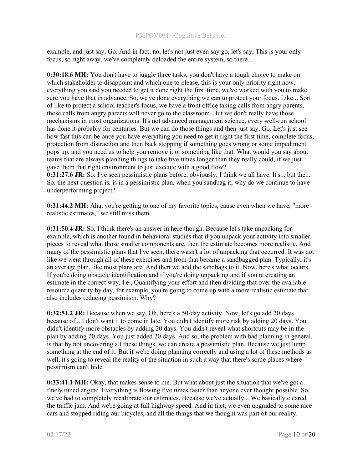example, and just say, Go. And in fact, no, let's not just even say go, let's say, This is your only focus, so right away, we've completely deloaded the entire system, so there...

0:30:18.6 MH: You don't have to juggle three tasks, you don't have a tough choice to make on which stakeholder to disappoint and which one to please, this is your only priority right now, everything you said you needed to get it done right the first time, we've worked with you to make sure you have that in advance. So, we've done everything we can to protect your focus. Like... Sort of like to protect a school teacher's focus, we have a front office taking calls from angry parents, those calls from angry parents will never go to the classroom. But we don't really have those mechanisms in most organizations. It's not advanced management science, every well-run school has done it probably for centuries. But we can do those things and then just say, Go. Let's just see how fast this can be once you have everything you need to get it right the first time, complete focus, protection from distraction and then back stopping if something goes wrong or some impediment pops up, and you need us to help you remove it or something like that. What would you say about teams that are always planning things to take five times longer than they really could, if we just gave them that right environment to just execute with a good flow?

0:31:27.6 JR: So, I've seen pessimistic plans before, obviously, I think we all have. It's... but the... So, the next question is, is in a pessimistic plan, when you sandbag it, why do we continue to have underperforming project?

0:31:44.2 MH: Aha, you're getting to one of my favorite topics, cause even when we have, "more realistic estimates," we still miss them.

0:31:50.4 JR: So, I think there's an answer in here though. Because let's take unpacking for example, which is another found in behavioral studies that if you unpack your activity into smaller pieces to reveal what those smaller components are, then the estimate becomes more realistic. And many of the pessimistic plans that I've seen, there wasn't a lot of unpacking that occurred. It was not like we went through all of these exercises and from that became a sandbagged plan. Typically, it's an average plan, like most plans are. And then we add the sandbags to it. Now, here's what occurs. If you're doing obstacle identification and if you're doing unpacking and if you're creating an estimate in the correct way, I.e., Quantifying your effort and then dividing that over the available resource quantity by day, for example, you're going to come up with a more realistic estimate that also includes reducing pessimism. Why?

0:32:51.2 JR: Because when we say, Oh, here's a 50-day activity. Now, let's go add 20 days because of... I don't want it to come in late. You didn't identify more risk by adding 20 days. You didn't identify more obstacles by adding 20 days. You didn't reveal what shortcuts may be in the plan by adding 20 days. You just added 20 days. And so, the problem with bad planning in general, is that by not uncovering all these things, we can create a pessimistic plan. Because we just lump something at the end of it. But if we're doing planning correctly and using a lot of these methods as well, it's going to reveal the reality of the situation in such a way that there's some places where pessimism can't hide.

0:33:41.1 MH: Okay, that makes sense to me. But what about just the situation that we've got a finely tuned engine. Everything is flowing five times faster than anyone ever thought possible. So, we've had to completely recalibrate our estimates. Because we've actually... We basically cleared the traffic jam. And we're going at full highway speed. And in fact, we even upgraded to some race cars and stopped riding our bicycles, and all the things that we thought was part of our reality.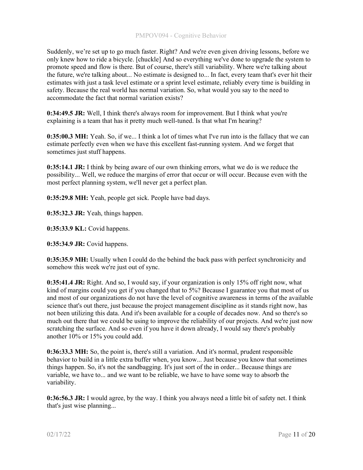Suddenly, we're set up to go much faster. Right? And we're even given driving lessons, before we only knew how to ride a bicycle. [chuckle] And so everything we've done to upgrade the system to promote speed and flow is there. But of course, there's still variability. Where we're talking about the future, we're talking about... No estimate is designed to... In fact, every team that's ever hit their estimates with just a task level estimate or a sprint level estimate, reliably every time is building in safety. Because the real world has normal variation. So, what would you say to the need to accommodate the fact that normal variation exists?

0:34:49.5 JR: Well, I think there's always room for improvement. But I think what you're explaining is a team that has it pretty much well-tuned. Is that what I'm hearing?

0:35:00.3 MH: Yeah. So, if we... I think a lot of times what I've run into is the fallacy that we can estimate perfectly even when we have this excellent fast-running system. And we forget that sometimes just stuff happens.

0:35:14.1 JR: I think by being aware of our own thinking errors, what we do is we reduce the possibility... Well, we reduce the margins of error that occur or will occur. Because even with the most perfect planning system, we'll never get a perfect plan.

0:35:29.8 MH: Yeah, people get sick. People have bad days.

0:35:32.3 JR: Yeah, things happen.

0:35:33.9 KL: Covid happens.

0:35:34.9 JR: Covid happens.

0:35:35.9 MH: Usually when I could do the behind the back pass with perfect synchronicity and somehow this week we're just out of sync.

0:35:41.4 JR: Right. And so, I would say, if your organization is only 15% off right now, what kind of margins could you get if you changed that to 5%? Because I guarantee you that most of us and most of our organizations do not have the level of cognitive awareness in terms of the available science that's out there, just because the project management discipline as it stands right now, has not been utilizing this data. And it's been available for a couple of decades now. And so there's so much out there that we could be using to improve the reliability of our projects. And we're just now scratching the surface. And so even if you have it down already, I would say there's probably another 10% or 15% you could add.

0:36:33.3 MH: So, the point is, there's still a variation. And it's normal, prudent responsible behavior to build in a little extra buffer when, you know... Just because you know that sometimes things happen. So, it's not the sandbagging. It's just sort of the in order... Because things are variable, we have to... and we want to be reliable, we have to have some way to absorb the variability.

0:36:56.3 JR: I would agree, by the way. I think you always need a little bit of safety net. I think that's just wise planning...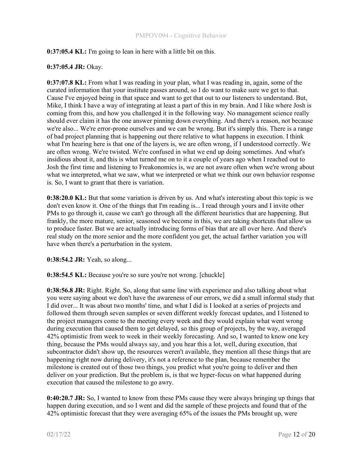# 0:37:05.4 KL: I'm going to lean in here with a little bit on this.

### 0:37:05.4 JR: Okay.

0:37:07.8 KL: From what I was reading in your plan, what I was reading in, again, some of the curated information that your institute passes around, so I do want to make sure we get to that. Cause I've enjoyed being in that space and want to get that out to our listeners to understand. But, Mike, I think I have a way of integrating at least a part of this in my brain. And I like where Josh is coming from this, and how you challenged it in the following way. No management science really should ever claim it has the one answer pinning down everything. And there's a reason, not because we're also... We're error-prone ourselves and we can be wrong. But it's simply this. There is a range of bad project planning that is happening out there relative to what happens in execution. I think what I'm hearing here is that one of the layers is, we are often wrong, if I understood correctly. We are often wrong. We're twisted. We're confused in what we end up doing sometimes. And what's insidious about it, and this is what turned me on to it a couple of years ago when I reached out to Josh the first time and listening to Freakonomics is, we are not aware often when we're wrong about what we interpreted, what we saw, what we interpreted or what we think our own behavior response is. So, I want to grant that there is variation.

0:38:20.0 KL: But that some variation is driven by us. And what's interesting about this topic is we don't even know it. One of the things that I'm reading is... I read through yours and I invite other PMs to go through it, cause we can't go through all the different heuristics that are happening. But frankly, the more mature, senior, seasoned we become in this, we are taking shortcuts that allow us to produce faster. But we are actually introducing forms of bias that are all over here. And there's real study on the more senior and the more confident you get, the actual farther variation you will have when there's a perturbation in the system.

0:38:54.2 JR: Yeah, so along...

0:38:54.5 KL: Because you're so sure you're not wrong. [chuckle]

0:38:56.8 JR: Right. Right. So, along that same line with experience and also talking about what you were saying about we don't have the awareness of our errors, we did a small informal study that I did over... It was about two months' time, and what I did is I looked at a series of projects and followed them through seven samples or seven different weekly forecast updates, and I listened to the project managers come to the meeting every week and they would explain what went wrong during execution that caused them to get delayed, so this group of projects, by the way, averaged 42% optimistic from week to week in their weekly forecasting. And so, I wanted to know one key thing, because the PMs would always say, and you hear this a lot, well, during execution, that subcontractor didn't show up, the resources weren't available, they mention all these things that are happening right now during delivery, it's not a reference to the plan, because remember the milestone is created out of those two things, you predict what you're going to deliver and then deliver on your prediction. But the problem is, is that we hyper-focus on what happened during execution that caused the milestone to go awry.

0:40:20.7 JR: So, I wanted to know from these PMs cause they were always bringing up things that happen during execution, and so I went and did the sample of these projects and found that of the 42% optimistic forecast that they were averaging 65% of the issues the PMs brought up, were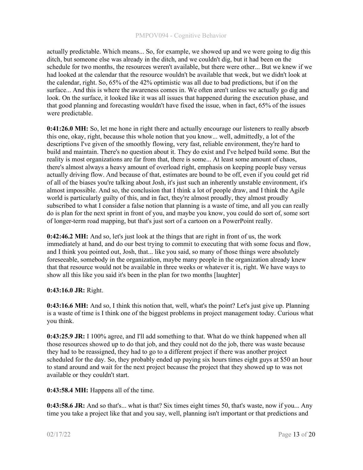actually predictable. Which means... So, for example, we showed up and we were going to dig this ditch, but someone else was already in the ditch, and we couldn't dig, but it had been on the schedule for two months, the resources weren't available, but there were other... But we knew if we had looked at the calendar that the resource wouldn't be available that week, but we didn't look at the calendar, right. So, 65% of the 42% optimistic was all due to bad predictions, but if on the surface... And this is where the awareness comes in. We often aren't unless we actually go dig and look. On the surface, it looked like it was all issues that happened during the execution phase, and that good planning and forecasting wouldn't have fixed the issue, when in fact, 65% of the issues were predictable.

0:41:26.0 MH: So, let me hone in right there and actually encourage our listeners to really absorb this one, okay, right, because this whole notion that you know... well, admittedly, a lot of the descriptions I've given of the smoothly flowing, very fast, reliable environment, they're hard to build and maintain. There's no question about it. They do exist and I've helped build some. But the reality is most organizations are far from that, there is some... At least some amount of chaos, there's almost always a heavy amount of overload right, emphasis on keeping people busy versus actually driving flow. And because of that, estimates are bound to be off, even if you could get rid of all of the biases you're talking about Josh, it's just such an inherently unstable environment, it's almost impossible. And so, the conclusion that I think a lot of people draw, and I think the Agile world is particularly guilty of this, and in fact, they're almost proudly, they almost proudly subscribed to what I consider a false notion that planning is a waste of time, and all you can really do is plan for the next sprint in front of you, and maybe you know, you could do sort of, some sort of longer-term road mapping, but that's just sort of a cartoon on a PowerPoint really.

0:42:46.2 MH: And so, let's just look at the things that are right in front of us, the work immediately at hand, and do our best trying to commit to executing that with some focus and flow, and I think you pointed out, Josh, that... like you said, so many of those things were absolutely foreseeable, somebody in the organization, maybe many people in the organization already knew that that resource would not be available in three weeks or whatever it is, right. We have ways to show all this like you said it's been in the plan for two months [laughter]

# 0:43:16.0 JR: Right.

0:43:16.6 MH: And so, I think this notion that, well, what's the point? Let's just give up. Planning is a waste of time is I think one of the biggest problems in project management today. Curious what you think.

0:43:25.9 JR: I 100% agree, and I'll add something to that. What do we think happened when all those resources showed up to do that job, and they could not do the job, there was waste because they had to be reassigned, they had to go to a different project if there was another project scheduled for the day. So, they probably ended up paying six hours times eight guys at \$50 an hour to stand around and wait for the next project because the project that they showed up to was not available or they couldn't start.

0:43:58.4 MH: Happens all of the time.

0:43:58.6 JR: And so that's... what is that? Six times eight times 50, that's waste, now if you... Any time you take a project like that and you say, well, planning isn't important or that predictions and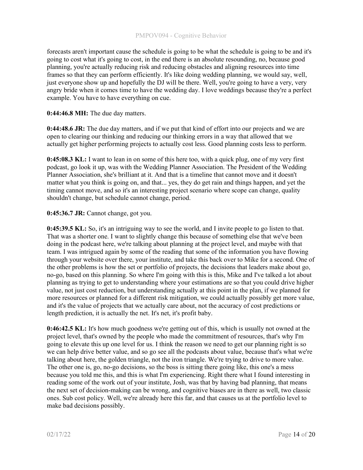forecasts aren't important cause the schedule is going to be what the schedule is going to be and it's going to cost what it's going to cost, in the end there is an absolute resounding, no, because good planning, you're actually reducing risk and reducing obstacles and aligning resources into time frames so that they can perform efficiently. It's like doing wedding planning, we would say, well, just everyone show up and hopefully the DJ will be there. Well, you're going to have a very, very angry bride when it comes time to have the wedding day. I love weddings because they're a perfect example. You have to have everything on cue.

## 0:44:46.8 MH: The due day matters.

0:44:48.6 JR: The due day matters, and if we put that kind of effort into our projects and we are open to clearing our thinking and reducing our thinking errors in a way that allowed that we actually get higher performing projects to actually cost less. Good planning costs less to perform.

0:45:08.3 KL: I want to lean in on some of this here too, with a quick plug, one of my very first podcast, go look it up, was with the Wedding Planner Association. The President of the Wedding Planner Association, she's brilliant at it. And that is a timeline that cannot move and it doesn't matter what you think is going on, and that... yes, they do get rain and things happen, and yet the timing cannot move, and so it's an interesting project scenario where scope can change, quality shouldn't change, but schedule cannot change, period.

### 0:45:36.7 JR: Cannot change, got you.

0:45:39.5 KL: So, it's an intriguing way to see the world, and I invite people to go listen to that. That was a shorter one. I want to slightly change this because of something else that we've been doing in the podcast here, we're talking about planning at the project level, and maybe with that team. I was intrigued again by some of the reading that some of the information you have flowing through your website over there, your institute, and take this back over to Mike for a second. One of the other problems is how the set or portfolio of projects, the decisions that leaders make about go, no-go, based on this planning. So where I'm going with this is this, Mike and I've talked a lot about planning as trying to get to understanding where your estimations are so that you could drive higher value, not just cost reduction, but understanding actually at this point in the plan, if we planned for more resources or planned for a different risk mitigation, we could actually possibly get more value, and it's the value of projects that we actually care about, not the accuracy of cost predictions or length prediction, it is actually the net. It's net, it's profit baby.

0:46:42.5 KL: It's how much goodness we're getting out of this, which is usually not owned at the project level, that's owned by the people who made the commitment of resources, that's why I'm going to elevate this up one level for us. I think the reason we need to get our planning right is so we can help drive better value, and so go see all the podcasts about value, because that's what we're talking about here, the golden triangle, not the iron triangle. We're trying to drive to more value. The other one is, go, no-go decisions, so the boss is sitting there going like, this one's a mess because you told me this, and this is what I'm experiencing. Right there what I found interesting in reading some of the work out of your institute, Josh, was that by having bad planning, that means the next set of decision-making can be wrong, and cognitive biases are in there as well, two classic ones. Sub cost policy. Well, we're already here this far, and that causes us at the portfolio level to make bad decisions possibly.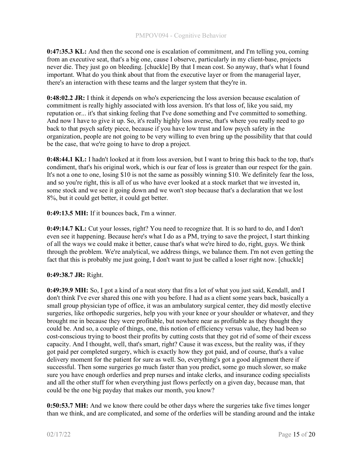0:47:35.3 KL: And then the second one is escalation of commitment, and I'm telling you, coming from an executive seat, that's a big one, cause I observe, particularly in my client-base, projects never die. They just go on bleeding. [chuckle] By that I mean cost. So anyway, that's what I found important. What do you think about that from the executive layer or from the managerial layer, there's an interaction with these teams and the larger system that they're in.

0:48:02.2 JR: I think it depends on who's experiencing the loss aversion because escalation of commitment is really highly associated with loss aversion. It's that loss of, like you said, my reputation or... it's that sinking feeling that I've done something and I've committed to something. And now I have to give it up. So, it's really highly loss averse, that's where you really need to go back to that psych safety piece, because if you have low trust and low psych safety in the organization, people are not going to be very willing to even bring up the possibility that that could be the case, that we're going to have to drop a project.

0:48:44.1 KL: I hadn't looked at it from loss aversion, but I want to bring this back to the top, that's condiment, that's his original work, which is our fear of loss is greater than our respect for the gain. It's not a one to one, losing \$10 is not the same as possibly winning \$10. We definitely fear the loss, and so you're right, this is all of us who have ever looked at a stock market that we invested in, some stock and we see it going down and we won't stop because that's a declaration that we lost 8%, but it could get better, it could get better.

0:49:13.5 MH: If it bounces back, I'm a winner.

0:49:14.7 KL: Cut your losses, right? You need to recognize that. It is so hard to do, and I don't even see it happening. Because here's what I do as a PM, trying to save the project, I start thinking of all the ways we could make it better, cause that's what we're hired to do, right, guys. We think through the problem. We're analytical, we address things, we balance them. I'm not even getting the fact that this is probably me just going, I don't want to just be called a loser right now. [chuckle]

# 0:49:38.7 JR: Right.

0:49:39.9 MH: So, I got a kind of a neat story that fits a lot of what you just said, Kendall, and I don't think I've ever shared this one with you before. I had as a client some years back, basically a small group physician type of office, it was an ambulatory surgical center, they did mostly elective surgeries, like orthopedic surgeries, help you with your knee or your shoulder or whatever, and they brought me in because they were profitable, but nowhere near as profitable as they thought they could be. And so, a couple of things, one, this notion of efficiency versus value, they had been so cost-conscious trying to boost their profits by cutting costs that they got rid of some of their excess capacity. And I thought, well, that's smart, right? Cause it was excess, but the reality was, if they got paid per completed surgery, which is exactly how they got paid, and of course, that's a value delivery moment for the patient for sure as well. So, everything's got a good alignment there if successful. Then some surgeries go much faster than you predict, some go much slower, so make sure you have enough orderlies and prep nurses and intake clerks, and insurance coding specialists and all the other stuff for when everything just flows perfectly on a given day, because man, that could be the one big payday that makes our month, you know?

0:50:53.7 MH: And we know there could be other days where the surgeries take five times longer than we think, and are complicated, and some of the orderlies will be standing around and the intake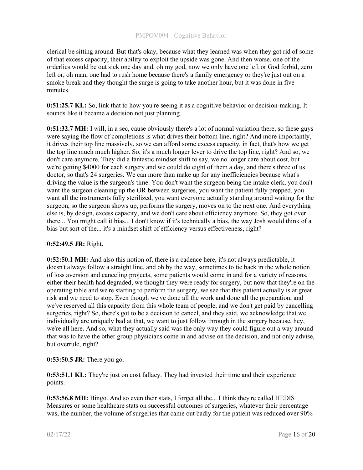clerical be sitting around. But that's okay, because what they learned was when they got rid of some of that excess capacity, their ability to exploit the upside was gone. And then worse, one of the orderlies would be out sick one day and, oh my god, now we only have one left or God forbid, zero left or, oh man, one had to rush home because there's a family emergency or they're just out on a smoke break and they thought the surge is going to take another hour, but it was done in five minutes.

0:51:25.7 KL: So, link that to how you're seeing it as a cognitive behavior or decision-making. It sounds like it became a decision not just planning.

0:51:32.7 MH: I will, in a sec, cause obviously there's a lot of normal variation there, so these guys were saying the flow of completions is what drives their bottom line, right? And more importantly, it drives their top line massively, so we can afford some excess capacity, in fact, that's how we get the top line much much higher. So, it's a much longer lever to drive the top line, right? And so, we don't care anymore. They did a fantastic mindset shift to say, we no longer care about cost, but we're getting \$4000 for each surgery and we could do eight of them a day, and there's three of us doctor, so that's 24 surgeries. We can more than make up for any inefficiencies because what's driving the value is the surgeon's time. You don't want the surgeon being the intake clerk, you don't want the surgeon cleaning up the OR between surgeries, you want the patient fully prepped, you want all the instruments fully sterilized, you want everyone actually standing around waiting for the surgeon, so the surgeon shows up, performs the surgery, moves on to the next one. And everything else is, by design, excess capacity, and we don't care about efficiency anymore. So, they got over there... You might call it bias... I don't know if it's technically a bias, the way Josh would think of a bias but sort of the... it's a mindset shift of efficiency versus effectiveness, right?

# 0:52:49.5 JR: Right.

0:52:50.1 MH: And also this notion of, there is a cadence here, it's not always predictable, it doesn't always follow a straight line, and oh by the way, sometimes to tie back in the whole notion of loss aversion and canceling projects, some patients would come in and for a variety of reasons, either their health had degraded, we thought they were ready for surgery, but now that they're on the operating table and we're starting to perform the surgery, we see that this patient actually is at great risk and we need to stop. Even though we've done all the work and done all the preparation, and we've reserved all this capacity from this whole team of people, and we don't get paid by cancelling surgeries, right? So, there's got to be a decision to cancel, and they said, we acknowledge that we individually are uniquely bad at that, we want to just follow through in the surgery because, hey, we're all here. And so, what they actually said was the only way they could figure out a way around that was to have the other group physicians come in and advise on the decision, and not only advise, but overrule, right?

# 0:53:50.5 JR: There you go.

0:53:51.1 KL: They're just on cost fallacy. They had invested their time and their experience points.

0:53:56.8 MH: Bingo. And so even their stats, I forget all the... I think they're called HEDIS Measures or some healthcare stats on successful outcomes of surgeries, whatever their percentage was, the number, the volume of surgeries that came out badly for the patient was reduced over 90%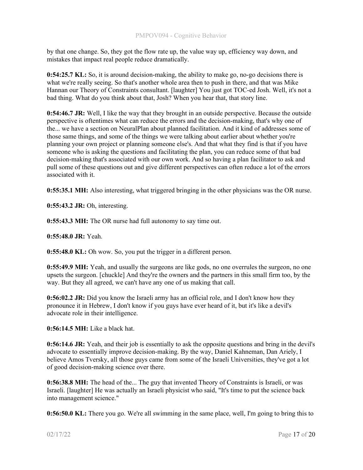by that one change. So, they got the flow rate up, the value way up, efficiency way down, and mistakes that impact real people reduce dramatically.

0:54:25.7 KL: So, it is around decision-making, the ability to make go, no-go decisions there is what we're really seeing. So that's another whole area then to push in there, and that was Mike Hannan our Theory of Constraints consultant. [laughter] You just got TOC-ed Josh. Well, it's not a bad thing. What do you think about that, Josh? When you hear that, that story line.

0:54:46.7 JR: Well, I like the way that they brought in an outside perspective. Because the outside perspective is oftentimes what can reduce the errors and the decision-making, that's why one of the... we have a section on NeuralPlan about planned facilitation. And it kind of addresses some of those same things, and some of the things we were talking about earlier about whether you're planning your own project or planning someone else's. And that what they find is that if you have someone who is asking the questions and facilitating the plan, you can reduce some of that bad decision-making that's associated with our own work. And so having a plan facilitator to ask and pull some of these questions out and give different perspectives can often reduce a lot of the errors associated with it.

0:55:35.1 MH: Also interesting, what triggered bringing in the other physicians was the OR nurse.

0:55:43.2 JR: Oh, interesting.

0:55:43.3 MH: The OR nurse had full autonomy to say time out.

0:55:48.0 JR: Yeah.

**0:55:48.0 KL:** Oh wow. So, you put the trigger in a different person.

0:55:49.9 MH: Yeah, and usually the surgeons are like gods, no one overrules the surgeon, no one upsets the surgeon. [chuckle] And they're the owners and the partners in this small firm too, by the way. But they all agreed, we can't have any one of us making that call.

0:56:02.2 JR: Did you know the Israeli army has an official role, and I don't know how they pronounce it in Hebrew, I don't know if you guys have ever heard of it, but it's like a devil's advocate role in their intelligence.

0:56:14.5 MH: Like a black hat.

0:56:14.6 JR: Yeah, and their job is essentially to ask the opposite questions and bring in the devil's advocate to essentially improve decision-making. By the way, Daniel Kahneman, Dan Ariely, I believe Amos Tversky, all those guys came from some of the Israeli Universities, they've got a lot of good decision-making science over there.

0:56:38.8 MH: The head of the... The guy that invented Theory of Constraints is Israeli, or was Israeli. [laughter] He was actually an Israeli physicist who said, "It's time to put the science back into management science."

0:56:50.0 KL: There you go. We're all swimming in the same place, well, I'm going to bring this to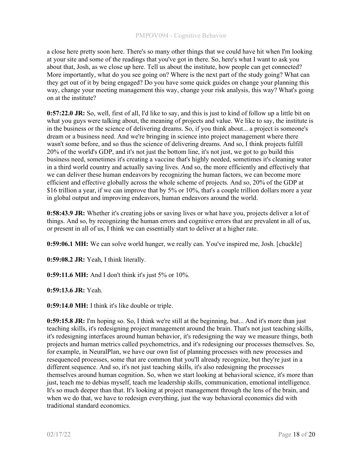a close here pretty soon here. There's so many other things that we could have hit when I'm looking at your site and some of the readings that you've got in there. So, here's what I want to ask you about that, Josh, as we close up here. Tell us about the institute, how people can get connected? More importantly, what do you see going on? Where is the next part of the study going? What can they get out of it by being engaged? Do you have some quick guides on change your planning this way, change your meeting management this way, change your risk analysis, this way? What's going on at the institute?

0:57:22.0 JR: So, well, first of all, I'd like to say, and this is just to kind of follow up a little bit on what you guys were talking about, the meaning of projects and value. We like to say, the institute is in the business or the science of delivering dreams. So, if you think about... a project is someone's dream or a business need. And we're bringing in science into project management where there wasn't some before, and so thus the science of delivering dreams. And so, I think projects fulfill 20% of the world's GDP, and it's not just the bottom line, it's not just, we got to go build this business need, sometimes it's creating a vaccine that's highly needed, sometimes it's cleaning water in a third world country and actually saving lives. And so, the more efficiently and effectively that we can deliver these human endeavors by recognizing the human factors, we can become more efficient and effective globally across the whole scheme of projects. And so, 20% of the GDP at \$16 trillion a year, if we can improve that by 5% or 10%, that's a couple trillion dollars more a year in global output and improving endeavors, human endeavors around the world.

0:58:43.9 JR: Whether it's creating jobs or saving lives or what have you, projects deliver a lot of things. And so, by recognizing the human errors and cognitive errors that are prevalent in all of us, or present in all of us, I think we can essentially start to deliver at a higher rate.

0:59:06.1 MH: We can solve world hunger, we really can. You've inspired me, Josh. [chuckle]

0:59:08.2 JR: Yeah, I think literally.

0:59:11.6 MH: And I don't think it's just 5% or 10%.

0:59:13.6 JR: Yeah.

0:59:14.0 MH: I think it's like double or triple.

0:59:15.8 JR: I'm hoping so. So, I think we're still at the beginning, but... And it's more than just teaching skills, it's redesigning project management around the brain. That's not just teaching skills, it's redesigning interfaces around human behavior, it's redesigning the way we measure things, both projects and human metrics called psychometrics, and it's redesigning our processes themselves. So, for example, in NeuralPlan, we have our own list of planning processes with new processes and resequenced processes, some that are common that you'll already recognize, but they're just in a different sequence. And so, it's not just teaching skills, it's also redesigning the processes themselves around human cognition. So, when we start looking at behavioral science, it's more than just, teach me to debias myself, teach me leadership skills, communication, emotional intelligence. It's so much deeper than that. It's looking at project management through the lens of the brain, and when we do that, we have to redesign everything, just the way behavioral economics did with traditional standard economics.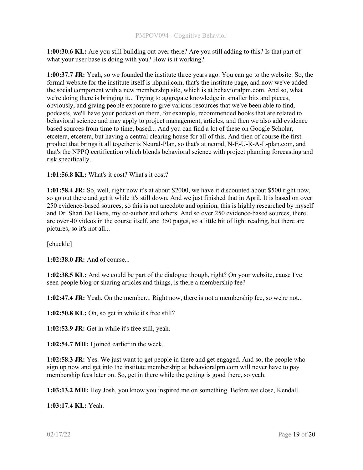1:00:30.6 KL: Are you still building out over there? Are you still adding to this? Is that part of what your user base is doing with you? How is it working?

1:00:37.7 JR: Yeah, so we founded the institute three years ago. You can go to the website. So, the formal website for the institute itself is nbpmi.com, that's the institute page, and now we've added the social component with a new membership site, which is at behavioralpm.com. And so, what we're doing there is bringing it... Trying to aggregate knowledge in smaller bits and pieces, obviously, and giving people exposure to give various resources that we've been able to find, podcasts, we'll have your podcast on there, for example, recommended books that are related to behavioral science and may apply to project management, articles, and then we also add evidence based sources from time to time, based... And you can find a lot of these on Google Scholar, etcetera, etcetera, but having a central clearing house for all of this. And then of course the first product that brings it all together is Neural-Plan, so that's at neural, N-E-U-R-A-L-plan.com, and that's the NPPQ certification which blends behavioral science with project planning forecasting and risk specifically.

### 1:01:56.8 KL: What's it cost? What's it cost?

1:01:58.4 JR: So, well, right now it's at about \$2000, we have it discounted about \$500 right now, so go out there and get it while it's still down. And we just finished that in April. It is based on over 250 evidence-based sources, so this is not anecdote and opinion, this is highly researched by myself and Dr. Shari De Baets, my co-author and others. And so over 250 evidence-based sources, there are over 40 videos in the course itself, and 350 pages, so a little bit of light reading, but there are pictures, so it's not all...

[chuckle]

1:02:38.0 JR: And of course...

1:02:38.5 KL: And we could be part of the dialogue though, right? On your website, cause I've seen people blog or sharing articles and things, is there a membership fee?

1:02:47.4 JR: Yeah. On the member... Right now, there is not a membership fee, so we're not...

1:02:50.8 KL: Oh, so get in while it's free still?

1:02:52.9 JR: Get in while it's free still, yeah.

1:02:54.7 MH: I joined earlier in the week.

1:02:58.3 JR: Yes. We just want to get people in there and get engaged. And so, the people who sign up now and get into the institute membership at behavioralpm.com will never have to pay membership fees later on. So, get in there while the getting is good there, so yeah.

1:03:13.2 MH: Hey Josh, you know you inspired me on something. Before we close, Kendall.

1:03:17.4 KL: Yeah.